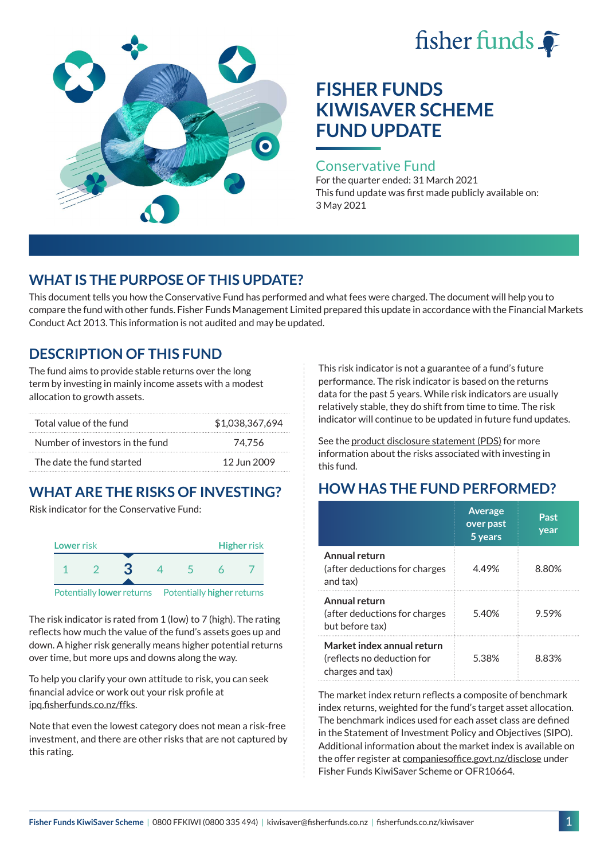# fisher funds



# **FISHER FUNDS KIWISAVER SCHEME FUND UPDATE**

#### Conservative Fund

For the quarter ended: 31 March 2021 This fund update was first made publicly available on: 3 May 2021

## **WHAT IS THE PURPOSE OF THIS UPDATE?**

This document tells you how the Conservative Fund has performed and what fees were charged. The document will help you to compare the fund with other funds. Fisher Funds Management Limited prepared this update in accordance with the Financial Markets Conduct Act 2013. This information is not audited and may be updated.

## **DESCRIPTION OF THIS FUND**

The fund aims to provide stable returns over the long term by investing in mainly income assets with a modest allocation to growth assets.

| Total value of the fund         | \$1,038,367,694 |
|---------------------------------|-----------------|
| Number of investors in the fund | 74.756          |
| The date the fund started       | 12 Jun 2009     |

## **WHAT ARE THE RISKS OF INVESTING?**

Risk indicator for the Conservative Fund:



The risk indicator is rated from 1 (low) to 7 (high). The rating reflects how much the value of the fund's assets goes up and down. A higher risk generally means higher potential returns over time, but more ups and downs along the way.

To help you clarify your own attitude to risk, you can seek financial advice or work out your risk profile at [ipq.fisherfunds.co.nz/ffks](https://ipq.fisherfunds.co.nz/ffks).

Note that even the lowest category does not mean a risk-free investment, and there are other risks that are not captured by this rating.

This risk indicator is not a guarantee of a fund's future performance. The risk indicator is based on the returns data for the past 5 years. While risk indicators are usually relatively stable, they do shift from time to time. The risk indicator will continue to be updated in future fund updates.

See the [product disclosure statement \(PDS\)](https://fisherfunds.co.nz/assets/PDS/Fisher-Funds-KiwiSaver-Scheme-PDS.pdf) for more information about the risks associated with investing in this fund.

## **HOW HAS THE FUND PERFORMED?**

|                                                                              | <b>Average</b><br>over past<br>5 years | Past<br>year |
|------------------------------------------------------------------------------|----------------------------------------|--------------|
| Annual return<br>(after deductions for charges<br>and tax)                   | 4.49%                                  | 8.80%        |
| Annual return<br>(after deductions for charges<br>but before tax)            | 5.40%                                  | 9.59%        |
| Market index annual return<br>(reflects no deduction for<br>charges and tax) | 5.38%                                  | 8 83%        |

The market index return reflects a composite of benchmark index returns, weighted for the fund's target asset allocation. The benchmark indices used for each asset class are defined in the Statement of Investment Policy and Objectives (SIPO). Additional information about the market index is available on the offer register at [companiesoffice.govt.nz/disclose](http://companiesoffice.govt.nz/disclose) under Fisher Funds KiwiSaver Scheme or OFR10664.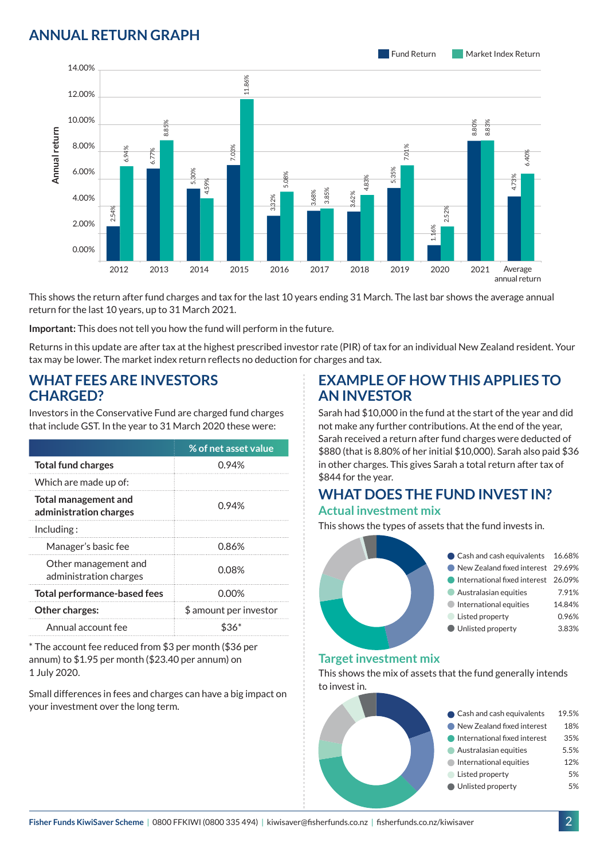## **ANNUAL RETURN GRAPH**



This shows the return after fund charges and tax for the last 10 years ending 31 March. The last bar shows the average annual return for the last 10 years, up to 31 March 2021.

**Important:** This does not tell you how the fund will perform in the future.

Returns in this update are after tax at the highest prescribed investor rate (PIR) of tax for an individual New Zealand resident. Your tax may be lower. The market index return reflects no deduction for charges and tax.

#### **WHAT FEES ARE INVESTORS CHARGED?**

| Annual return                                                                                                               | 8.00%<br>6.00%<br>4.00%<br>2.00%<br>0.00%                                                                                                                                                   | 6.94%<br>2.54%                                                     | 8.8<br>6.77% | 5.30% | 4.59% | 03%                    |  | 3.32% | 5.08% |
|-----------------------------------------------------------------------------------------------------------------------------|---------------------------------------------------------------------------------------------------------------------------------------------------------------------------------------------|--------------------------------------------------------------------|--------------|-------|-------|------------------------|--|-------|-------|
|                                                                                                                             |                                                                                                                                                                                             | 2012                                                               | 2013         |       | 2014  | 2015                   |  | 2016  |       |
|                                                                                                                             | This shows the return after fund charges and tax for the last 10<br>return for the last 10 years, up to 31 March 2021.<br>Important: This does not tell you how the fund will perform in th |                                                                    |              |       |       |                        |  |       |       |
|                                                                                                                             |                                                                                                                                                                                             | Returns in this update are after tax at the highest prescribed inv |              |       |       |                        |  |       |       |
|                                                                                                                             |                                                                                                                                                                                             | tax may be lower. The market index return reflects no deductior    |              |       |       |                        |  |       |       |
| <b>CHARGED?</b>                                                                                                             |                                                                                                                                                                                             | <b>WHAT FEES ARE INVESTORS</b>                                     |              |       |       |                        |  |       |       |
|                                                                                                                             |                                                                                                                                                                                             | Investors in the Conservative Fund are charged fund charges        |              |       |       |                        |  |       |       |
|                                                                                                                             |                                                                                                                                                                                             | that include GST. In the year to 31 March 2020 these were:         |              |       |       |                        |  |       |       |
|                                                                                                                             |                                                                                                                                                                                             |                                                                    |              |       |       | % of net asset value   |  |       |       |
|                                                                                                                             | <b>Total fund charges</b>                                                                                                                                                                   |                                                                    |              |       |       | 0.94%                  |  |       |       |
|                                                                                                                             | Which are made up of:                                                                                                                                                                       |                                                                    |              |       |       |                        |  |       |       |
|                                                                                                                             | <b>Total management and</b><br>administration charges                                                                                                                                       |                                                                    |              |       |       | 0.94%                  |  |       |       |
| Including:                                                                                                                  |                                                                                                                                                                                             |                                                                    |              |       |       |                        |  |       |       |
|                                                                                                                             | Manager's basic fee                                                                                                                                                                         |                                                                    |              |       |       | 0.86%                  |  |       |       |
|                                                                                                                             |                                                                                                                                                                                             | Other management and<br>administration charges                     |              |       |       | 0.08%                  |  |       |       |
|                                                                                                                             |                                                                                                                                                                                             | <b>Total performance-based fees</b>                                |              |       |       | $0.00\%$               |  |       |       |
|                                                                                                                             | Other charges:                                                                                                                                                                              |                                                                    |              |       |       | \$ amount per investor |  |       |       |
|                                                                                                                             | Annual account fee                                                                                                                                                                          |                                                                    |              |       |       | \$36*                  |  |       |       |
| * The account fee reduced from \$3 per month (\$36 per<br>annum) to \$1.95 per month (\$23.40 per annum) on<br>1 July 2020. |                                                                                                                                                                                             |                                                                    |              |       |       |                        |  |       |       |
| your investment over the long term.                                                                                         |                                                                                                                                                                                             | Small differences in fees and charges can have a big impact on     |              |       |       |                        |  |       |       |

#### **EXAMPLE OF HOW THIS APPLIES TO AN INVESTOR**

Sarah had \$10,000 in the fund at the start of the year and did not make any further contributions. At the end of the year, Sarah received a return after fund charges were deducted of \$880 (that is 8.80% of her initial \$10,000). Sarah also paid \$36 in other charges. This gives Sarah a total return after tax of \$844 for the year.

#### **WHAT DOES THE FUND INVEST IN? Actual investment mix**

This shows the types of assets that the fund invests in.

| Cash and cash equivalents 16.68%    |        |
|-------------------------------------|--------|
| New Zealand fixed interest 29.69%   |        |
| International fixed interest 26.09% |        |
| Australasian equities               | 7.91%  |
| International equities              | 14.84% |
| Listed property                     | 0.96%  |
| Unlisted property                   | 3.83%  |
|                                     |        |

#### **Target investment mix**

This shows the mix of assets that the fund generally intends to invest in.